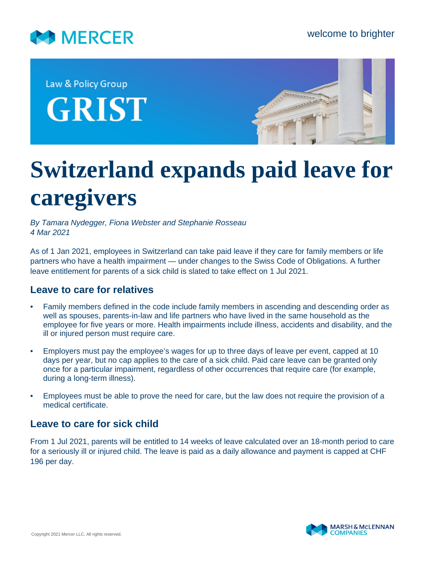

Law & Policy Group **GRIST** 



## **Switzerland expands paid leave for caregivers**

*By Tamara Nydegger, Fiona Webster and Stephanie Rosseau 4 Mar 2021*

As of 1 Jan 2021, employees in Switzerland can take paid leave if they care for family members or life partners who have a health impairment — under changes to the Swiss Code of Obligations. A further leave entitlement for parents of a sick child is slated to take effect on 1 Jul 2021.

## **Leave to care for relatives**

- Family members defined in the code include family members in ascending and descending order as well as spouses, parents-in-law and life partners who have lived in the same household as the employee for five years or more. Health impairments include illness, accidents and disability, and the ill or injured person must require care.
- Employers must pay the employee's wages for up to three days of leave per event, capped at 10 days per year, but no cap applies to the care of a sick child. Paid care leave can be granted only once for a particular impairment, regardless of other occurrences that require care (for example, during a long-term illness).
- Employees must be able to prove the need for care, but the law does not require the provision of a medical certificate.

## **Leave to care for sick child**

From 1 Jul 2021, parents will be entitled to 14 weeks of leave calculated over an 18-month period to care for a seriously ill or injured child. The leave is paid as a daily allowance and payment is capped at CHF 196 per day.